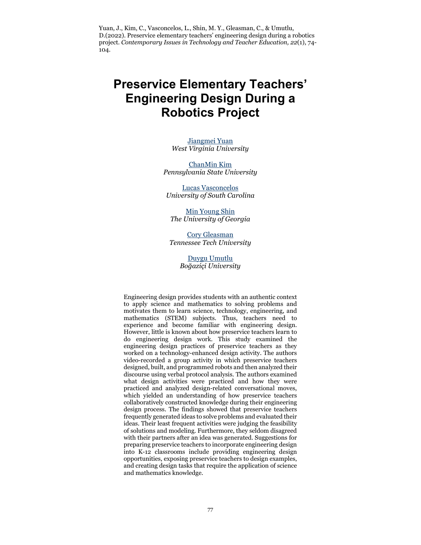Yuan, J., Kim, C., Vasconcelos, L., Shin, M. Y., Gleasman, C., & Umutlu, D.(2022). Preservice elementary teachers' engineering design during a robotics project. *Contemporary Issues in Technology and Teacher Education, 22*(1), 74- 104.

# **Preservice Elementary Teachers' Engineering Design During a Robotics Project**

[Jiangmei Yuan](mailto:mayyuan111@gmail.com) *West Virginia University*

[ChanMin Kim](mailto:cmk604@psu.edu) *Pennsylvania State University*

[Lucas Vasconcelos](mailto:limadel@mailbox.sc.edu) *University of South Carolina*

[Min Young Shin](mailto:minyoungshin@uga.edu) *The University of Georgia*

[Cory Gleasman](mailto:cgleasman@tntech.edu) *Tennessee Tech University*

> [Duygu Umutlu](mailto:duygu.umutlu@boun.edu.tr) *Boğaziçi University*

Engineering design provides students with an authentic context to apply science and mathematics to solving problems and motivates them to learn science, technology, engineering, and mathematics (STEM) subjects. Thus, teachers need to experience and become familiar with engineering design. However, little is known about how preservice teachers learn to do engineering design work. This study examined the engineering design practices of preservice teachers as they worked on a technology-enhanced design activity. The authors video-recorded a group activity in which preservice teachers designed, built, and programmed robots and then analyzed their discourse using verbal protocol analysis. The authors examined what design activities were practiced and how they were practiced and analyzed design-related conversational moves, which yielded an understanding of how preservice teachers collaboratively constructed knowledge during their engineering design process. The findings showed that preservice teachers frequently generated ideas to solve problems and evaluated their ideas. Their least frequent activities were judging the feasibility of solutions and modeling. Furthermore, they seldom disagreed with their partners after an idea was generated. Suggestions for preparing preservice teachers to incorporate engineering design into K-12 classrooms include providing engineering design opportunities, exposing preservice teachers to design examples, and creating design tasks that require the application of science and mathematics knowledge.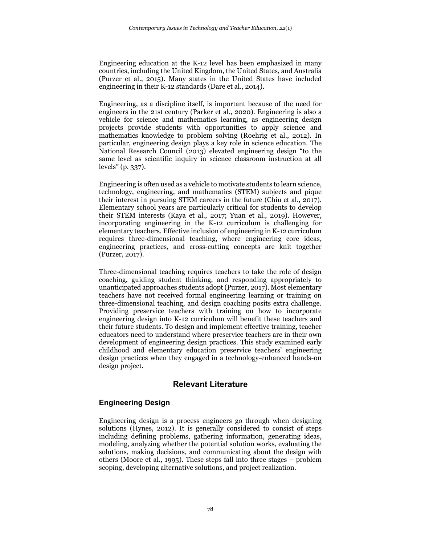Engineering education at the K-12 level has been emphasized in many countries, including the United Kingdom, the United States, and Australia (Purzer et al., 2015). Many states in the United States have included engineering in their K-12 standards (Dare et al., 2014).

Engineering, as a discipline itself, is important because of the need for engineers in the 21st century (Parker et al., 2020). Engineering is also a vehicle for science and mathematics learning, as engineering design projects provide students with opportunities to apply science and mathematics knowledge to problem solving (Roehrig et al., 2012). In particular, engineering design plays a key role in science education. The National Research Council (2013) elevated engineering design "to the same level as scientific inquiry in science classroom instruction at all levels" (p. 337).

Engineering is often used as a vehicle to motivate students to learn science, technology, engineering, and mathematics (STEM) subjects and pique their interest in pursuing STEM careers in the future (Chiu et al., 2017). Elementary school years are particularly critical for students to develop their STEM interests (Kaya et al., 2017; Yuan et al., 2019). However, incorporating engineering in the K-12 curriculum is challenging for elementary teachers. Effective inclusion of engineering in K-12 curriculum requires three-dimensional teaching, where engineering core ideas, engineering practices, and cross-cutting concepts are knit together (Purzer, 2017).

Three-dimensional teaching requires teachers to take the role of design coaching, guiding student thinking, and responding appropriately to unanticipated approaches students adopt (Purzer, 2017). Most elementary teachers have not received formal engineering learning or training on three-dimensional teaching, and design coaching posits extra challenge. Providing preservice teachers with training on how to incorporate engineering design into K-12 curriculum will benefit these teachers and their future students. To design and implement effective training, teacher educators need to understand where preservice teachers are in their own development of engineering design practices. This study examined early childhood and elementary education preservice teachers' engineering design practices when they engaged in a technology-enhanced hands-on design project.

# **Relevant Literature**

# **Engineering Design**

Engineering design is a process engineers go through when designing solutions (Hynes, 2012). It is generally considered to consist of steps including defining problems, gathering information, generating ideas, modeling, analyzing whether the potential solution works, evaluating the solutions, making decisions, and communicating about the design with others (Moore et al., 1995). These steps fall into three stages – problem scoping, developing alternative solutions, and project realization.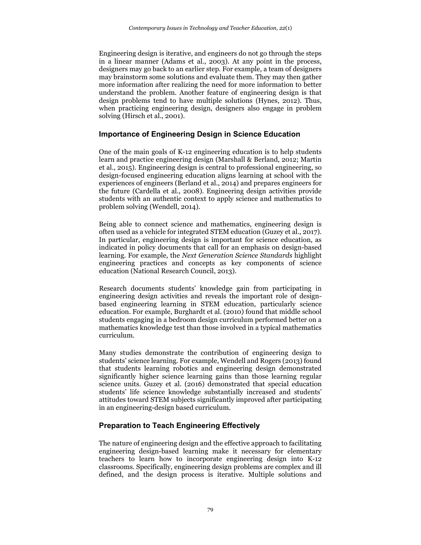Engineering design is iterative, and engineers do not go through the steps in a linear manner (Adams et al., 2003). At any point in the process, designers may go back to an earlier step. For example, a team of designers may brainstorm some solutions and evaluate them. They may then gather more information after realizing the need for more information to better understand the problem. Another feature of engineering design is that design problems tend to have multiple solutions (Hynes, 2012). Thus, when practicing engineering design, designers also engage in problem solving (Hirsch et al., 2001).

#### **Importance of Engineering Design in Science Education**

One of the main goals of K-12 engineering education is to help students learn and practice engineering design (Marshall & Berland, 2012; Martin et al., 2015). Engineering design is central to professional engineering, so design-focused engineering education aligns learning at school with the experiences of engineers (Berland et al., 2014) and prepares engineers for the future (Cardella et al., 2008). Engineering design activities provide students with an authentic context to apply science and mathematics to problem solving (Wendell, 2014).

Being able to connect science and mathematics, engineering design is often used as a vehicle for integrated STEM education (Guzey et al., 2017). In particular, engineering design is important for science education, as indicated in policy documents that call for an emphasis on design-based learning. For example, the *Next Generation Science Standards* highlight engineering practices and concepts as key components of science education (National Research Council, 2013).

Research documents students' knowledge gain from participating in engineering design activities and reveals the important role of designbased engineering learning in STEM education, particularly science education. For example, Burghardt et al. (2010) found that middle school students engaging in a bedroom design curriculum performed better on a mathematics knowledge test than those involved in a typical mathematics curriculum.

Many studies demonstrate the contribution of engineering design to students' science learning. For example, Wendell and Rogers (2013) found that students learning robotics and engineering design demonstrated significantly higher science learning gains than those learning regular science units. Guzey et al. (2016) demonstrated that special education students' life science knowledge substantially increased and students' attitudes toward STEM subjects significantly improved after participating in an engineering-design based curriculum.

# **Preparation to Teach Engineering Effectively**

The nature of engineering design and the effective approach to facilitating engineering design-based learning make it necessary for elementary teachers to learn how to incorporate engineering design into K-12 classrooms. Specifically, engineering design problems are complex and ill defined, and the design process is iterative. Multiple solutions and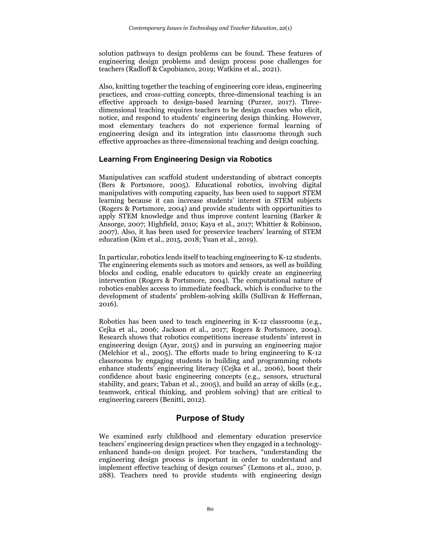solution pathways to design problems can be found. These features of engineering design problems and design process pose challenges for teachers (Radloff & Capobianco, 2019; Watkins et al., 2021).

Also, knitting together the teaching of engineering core ideas, engineering practices, and cross-cutting concepts, three-dimensional teaching is an effective approach to design-based learning (Purzer, 2017). Threedimensional teaching requires teachers to be design coaches who elicit, notice, and respond to students' engineering design thinking. However, most elementary teachers do not experience formal learning of engineering design and its integration into classrooms through such effective approaches as three-dimensional teaching and design coaching.

# **Learning From Engineering Design via Robotics**

Manipulatives can scaffold student understanding of abstract concepts (Bers & Portsmore, 2005). Educational robotics, involving digital manipulatives with computing capacity, has been used to support STEM learning because it can increase students' interest in STEM subjects (Rogers & Portsmore, 2004) and provide students with opportunities to apply STEM knowledge and thus improve content learning (Barker & Ansorge, 2007; Highfield, 2010; Kaya et al., 2017; Whittier & Robinson, 2007). Also, it has been used for preservice teachers' learning of STEM education (Kim et al., 2015, 2018; Yuan et al., 2019).

In particular, robotics lends itself to teaching engineering to K-12 students. The engineering elements such as motors and sensors, as well as building blocks and coding, enable educators to quickly create an engineering intervention (Rogers & Portsmore, 2004). The computational nature of robotics enables access to immediate feedback, which is conducive to the development of students' problem-solving skills (Sullivan & Heffernan, 2016).

Robotics has been used to teach engineering in K-12 classrooms (e.g., Cejka et al., 2006; Jackson et al., 2017; Rogers & Portsmore, 2004). Research shows that robotics competitions increase students' interest in engineering design (Ayar, 2015) and in pursuing an engineering major (Melchior et al., 2005). The efforts made to bring engineering to K-12 classrooms by engaging students in building and programming robots enhance students' engineering literacy (Cejka et al., 2006), boost their confidence about basic engineering concepts (e.g., sensors, structural stability, and gears; Taban et al., 2005), and build an array of skills (e.g., teamwork, critical thinking, and problem solving) that are critical to engineering careers (Benitti, 2012).

# **Purpose of Study**

We examined early childhood and elementary education preservice teachers' engineering design practices when they engaged in a technologyenhanced hands-on design project. For teachers, "understanding the engineering design process is important in order to understand and implement effective teaching of design courses" (Lemons et al., 2010, p. 288). Teachers need to provide students with engineering design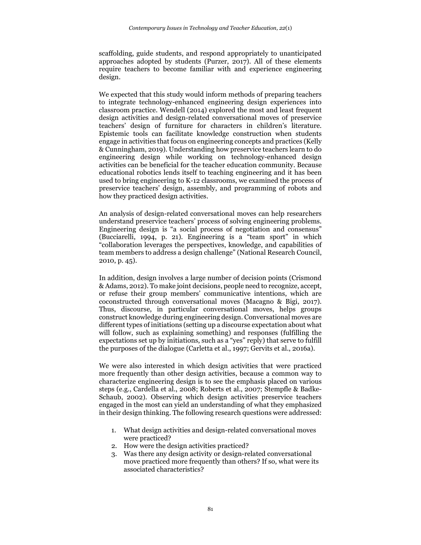scaffolding, guide students, and respond appropriately to unanticipated approaches adopted by students (Purzer, 2017). All of these elements require teachers to become familiar with and experience engineering design.

We expected that this study would inform methods of preparing teachers to integrate technology-enhanced engineering design experiences into classroom practice. Wendell (2014) explored the most and least frequent design activities and design-related conversational moves of preservice teachers' design of furniture for characters in children's literature. Epistemic tools can facilitate knowledge construction when students engage in activities that focus on engineering concepts and practices (Kelly & Cunningham, 2019). Understanding how preservice teachers learn to do engineering design while working on technology-enhanced design activities can be beneficial for the teacher education community. Because educational robotics lends itself to teaching engineering and it has been used to bring engineering to K-12 classrooms, we examined the process of preservice teachers' design, assembly, and programming of robots and how they practiced design activities.

An analysis of design-related conversational moves can help researchers understand preservice teachers' process of solving engineering problems. Engineering design is "a social process of negotiation and consensus" (Bucciarelli, 1994, p. 21). Engineering is a "team sport" in which "collaboration leverages the perspectives, knowledge, and capabilities of team members to address a design challenge" (National Research Council, 2010, p. 45).

In addition, design involves a large number of decision points (Crismond & Adams, 2012). To make joint decisions, people need to recognize, accept, or refuse their group members' communicative intentions, which are coconstructed through conversational moves (Macagno & Bigi, 2017). Thus, discourse, in particular conversational moves, helps groups construct knowledge during engineering design. Conversational moves are different types of initiations (setting up a discourse expectation about what will follow, such as explaining something) and responses (fulfilling the expectations set up by initiations, such as a "yes" reply) that serve to fulfill the purposes of the dialogue (Carletta et al., 1997; Gervits et al., 2016a).

We were also interested in which design activities that were practiced more frequently than other design activities, because a common way to characterize engineering design is to see the emphasis placed on various steps (e.g., Cardella et al., 2008; Roberts et al., 2007; Stempfle & Badke-Schaub, 2002). Observing which design activities preservice teachers engaged in the most can yield an understanding of what they emphasized in their design thinking. The following research questions were addressed:

- 1. What design activities and design-related conversational moves were practiced?
- 2. How were the design activities practiced?
- 3. Was there any design activity or design-related conversational move practiced more frequently than others? If so, what were its associated characteristics?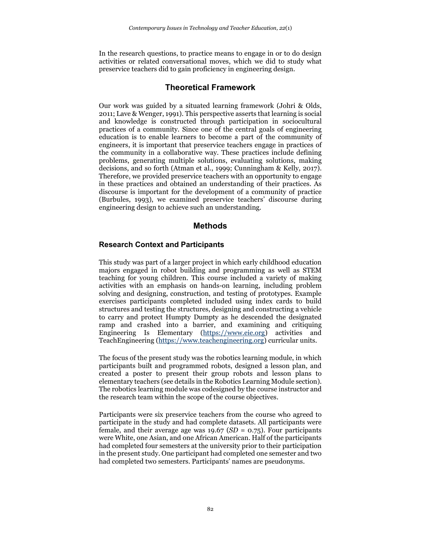In the research questions, to practice means to engage in or to do design activities or related conversational moves, which we did to study what preservice teachers did to gain proficiency in engineering design.

# **Theoretical Framework**

Our work was guided by a situated learning framework (Johri & Olds, 2011; Lave & Wenger, 1991). This perspective asserts that learning is social and knowledge is constructed through participation in sociocultural practices of a community. Since one of the central goals of engineering education is to enable learners to become a part of the community of engineers, it is important that preservice teachers engage in practices of the community in a collaborative way. These practices include defining problems, generating multiple solutions, evaluating solutions, making decisions, and so forth (Atman et al., 1999; Cunningham & Kelly, 2017). Therefore, we provided preservice teachers with an opportunity to engage in these practices and obtained an understanding of their practices. As discourse is important for the development of a community of practice (Burbules, 1993), we examined preservice teachers' discourse during engineering design to achieve such an understanding.

# **Methods**

#### **Research Context and Participants**

This study was part of a larger project in which early childhood education majors engaged in robot building and programming as well as STEM teaching for young children. This course included a variety of making activities with an emphasis on hands-on learning, including problem solving and designing, construction, and testing of prototypes. Example exercises participants completed included using index cards to build structures and testing the structures, designing and constructing a vehicle to carry and protect Humpty Dumpty as he descended the designated ramp and crashed into a barrier, and examining and critiquing Engineering Is Elementary [\(https://www.eie.org\)](https://www.eie.org/) activities and TeachEngineering [\(https://www.teachengineering.org\)](https://www.teachengineering.org/) curricular units.

The focus of the present study was the robotics learning module, in which participants built and programmed robots, designed a lesson plan, and created a poster to present their group robots and lesson plans to elementary teachers (see details in the Robotics Learning Module section). The robotics learning module was codesigned by the course instructor and the research team within the scope of the course objectives.

Participants were six preservice teachers from the course who agreed to participate in the study and had complete datasets. All participants were female, and their average age was 19.67 (*SD* = 0.75). Four participants were White, one Asian, and one African American. Half of the participants had completed four semesters at the university prior to their participation in the present study. One participant had completed one semester and two had completed two semesters. Participants' names are pseudonyms.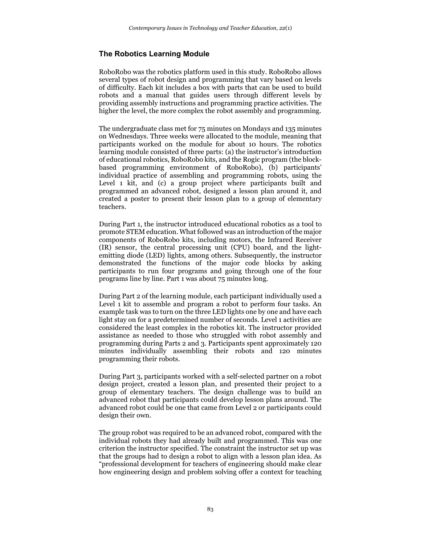# **The Robotics Learning Module**

RoboRobo was the robotics platform used in this study. RoboRobo allows several types of robot design and programming that vary based on levels of difficulty. Each kit includes a box with parts that can be used to build robots and a manual that guides users through different levels by providing assembly instructions and programming practice activities. The higher the level, the more complex the robot assembly and programming.

The undergraduate class met for 75 minutes on Mondays and 135 minutes on Wednesdays. Three weeks were allocated to the module, meaning that participants worked on the module for about 10 hours. The robotics learning module consisted of three parts: (a) the instructor's introduction of educational robotics, RoboRobo kits, and the Rogic program (the blockbased programming environment of RoboRobo), (b) participants' individual practice of assembling and programming robots, using the Level 1 kit, and (c) a group project where participants built and programmed an advanced robot, designed a lesson plan around it, and created a poster to present their lesson plan to a group of elementary teachers.

During Part 1, the instructor introduced educational robotics as a tool to promote STEM education. What followed was an introduction of the major components of RoboRobo kits, including motors, the Infrared Receiver (IR) sensor, the central processing unit (CPU) board, and the lightemitting diode (LED) lights, among others. Subsequently, the instructor demonstrated the functions of the major code blocks by asking participants to run four programs and going through one of the four programs line by line. Part 1 was about 75 minutes long.

During Part 2 of the learning module, each participant individually used a Level 1 kit to assemble and program a robot to perform four tasks. An example task was to turn on the three LED lights one by one and have each light stay on for a predetermined number of seconds. Level 1 activities are considered the least complex in the robotics kit. The instructor provided assistance as needed to those who struggled with robot assembly and programming during Parts 2 and 3. Participants spent approximately 120 minutes individually assembling their robots and 120 minutes programming their robots.

During Part 3, participants worked with a self-selected partner on a robot design project, created a lesson plan, and presented their project to a group of elementary teachers. The design challenge was to build an advanced robot that participants could develop lesson plans around. The advanced robot could be one that came from Level 2 or participants could design their own.

The group robot was required to be an advanced robot, compared with the individual robots they had already built and programmed. This was one criterion the instructor specified. The constraint the instructor set up was that the groups had to design a robot to align with a lesson plan idea. As "professional development for teachers of engineering should make clear how engineering design and problem solving offer a context for teaching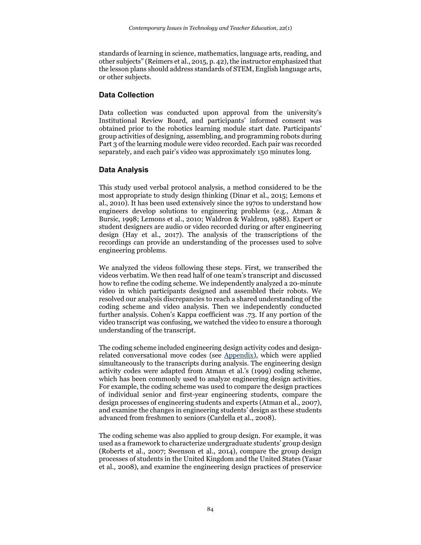standards of learning in science, mathematics, language arts, reading, and other subjects" (Reimers et al., 2015, p. 42), the instructor emphasized that the lesson plans should address standards of STEM, English language arts, or other subjects.

#### **Data Collection**

Data collection was conducted upon approval from the university's Institutional Review Board, and participants' informed consent was obtained prior to the robotics learning module start date. Participants' group activities of designing, assembling, and programming robots during Part 3 of the learning module were video recorded. Each pair was recorded separately, and each pair's video was approximately 150 minutes long.

# **Data Analysis**

This study used verbal protocol analysis, a method considered to be the most appropriate to study design thinking (Dinar et al., 2015; Lemons et al., 2010). It has been used extensively since the 1970s to understand how engineers develop solutions to engineering problems (e.g., Atman & Bursic, 1998; Lemons et al., 2010; Waldron & Waldron, 1988). Expert or student designers are audio or video recorded during or after engineering design (Hay et al., 2017). The analysis of the transcriptions of the recordings can provide an understanding of the processes used to solve engineering problems.

We analyzed the videos following these steps. First, we transcribed the videos verbatim. We then read half of one team's transcript and discussed how to refine the coding scheme. We independently analyzed a 20-minute video in which participants designed and assembled their robots. We resolved our analysis discrepancies to reach a shared understanding of the coding scheme and video analysis. Then we independently conducted further analysis. Cohen's Kappa coefficient was .73. If any portion of the video transcript was confusing, we watched the video to ensure a thorough understanding of the transcript.

The coding scheme included engineering design activity codes and designrelated conversational move codes (see Appendix), which were applied simultaneously to the transcripts during analysis. The engineering design activity codes were adapted from Atman et al.'s (1999) coding scheme, which has been commonly used to analyze engineering design activities. For example, the coding scheme was used to compare the design practices of individual senior and first-year engineering students, compare the design processes of engineering students and experts (Atman et al., 2007), and examine the changes in engineering students' design as these students advanced from freshmen to seniors (Cardella et al., 2008).

The coding scheme was also applied to group design. For example, it was used as a framework to characterize undergraduate students' group design (Roberts et al., 2007; Swenson et al., 2014), compare the group design processes of students in the United Kingdom and the United States (Yasar et al., 2008), and examine the engineering design practices of preservice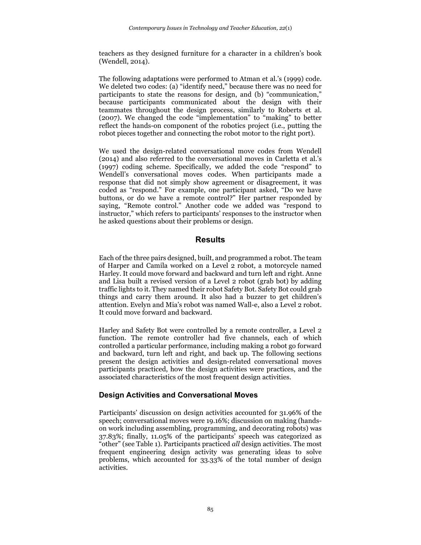teachers as they designed furniture for a character in a children's book (Wendell, 2014).

The following adaptations were performed to Atman et al.'s (1999) code. We deleted two codes: (a) "identify need," because there was no need for participants to state the reasons for design, and (b) "communication," because participants communicated about the design with their teammates throughout the design process, similarly to Roberts et al. (2007). We changed the code "implementation" to "making" to better reflect the hands-on component of the robotics project (i.e., putting the robot pieces together and connecting the robot motor to the right port).

We used the design-related conversational move codes from Wendell (2014) and also referred to the conversational moves in Carletta et al.'s (1997) coding scheme. Specifically, we added the code "respond" to Wendell's conversational moves codes. When participants made a response that did not simply show agreement or disagreement, it was coded as "respond." For example, one participant asked, "Do we have buttons, or do we have a remote control?" Her partner responded by saying, "Remote control." Another code we added was "respond to instructor," which refers to participants' responses to the instructor when he asked questions about their problems or design.

# **Results**

Each of the three pairs designed, built, and programmed a robot. The team of Harper and Camila worked on a Level 2 robot, a motorcycle named Harley. It could move forward and backward and turn left and right. Anne and Lisa built a revised version of a Level 2 robot (grab bot) by adding traffic lights to it. They named their robot Safety Bot. Safety Bot could grab things and carry them around. It also had a buzzer to get children's attention. Evelyn and Mia's robot was named Wall-e, also a Level 2 robot. It could move forward and backward.

Harley and Safety Bot were controlled by a remote controller, a Level 2 function. The remote controller had five channels, each of which controlled a particular performance, including making a robot go forward and backward, turn left and right, and back up. The following sections present the design activities and design-related conversational moves participants practiced, how the design activities were practices, and the associated characteristics of the most frequent design activities.

# **Design Activities and Conversational Moves**

Participants' discussion on design activities accounted for 31.96% of the speech; conversational moves were 19.16%; discussion on making (handson work including assembling, programming, and decorating robots) was 37.83%; finally, 11.05% of the participants' speech was categorized as "other" (see Table 1). Participants practiced *all* design activities. The most frequent engineering design activity was generating ideas to solve problems, which accounted for 33.33% of the total number of design activities.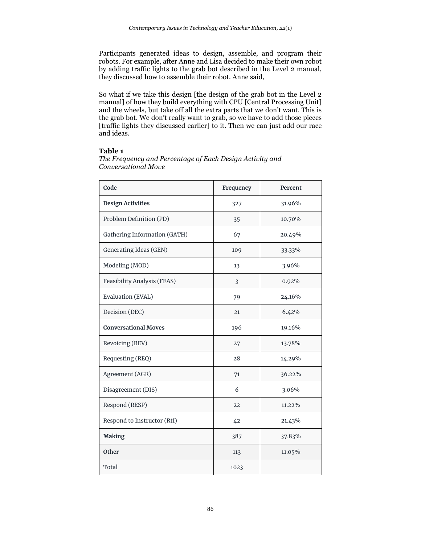Participants generated ideas to design, assemble, and program their robots. For example, after Anne and Lisa decided to make their own robot by adding traffic lights to the grab bot described in the Level 2 manual, they discussed how to assemble their robot. Anne said,

So what if we take this design [the design of the grab bot in the Level 2 manual] of how they build everything with CPU [Central Processing Unit] and the wheels, but take off all the extra parts that we don't want. This is the grab bot. We don't really want to grab, so we have to add those pieces [traffic lights they discussed earlier] to it. Then we can just add our race and ideas.

#### **Table 1**

**Code Frequency Percent Design Activities** 227 31.96% Problem Definition (PD)  $\begin{array}{ccc} | & 35 & | & 10.70\% \end{array}$ Gathering Information (GATH)  $\qquad \qquad$  67  $\qquad \qquad$  20.49% Generating Ideas (GEN) 109 109 33.33% Modeling (MOD) 13 3.96% Feasibility Analysis (FEAS) 3 0.92% Evaluation (EVAL) 79 24.16% Decision (DEC) 21 6.42% **Conversational Moves** 196 196 19.16% Revoicing (REV) 27 13.78% Requesting (REQ) 28 14.29% Agreement (AGR) 71 36.22% Disagreement (DIS) 6 3.06% Respond (RESP) 22 11.22% Respond to Instructor (RtI)  $42$  42 21.43% **Making** 387 37.83% **Other** 113 11.05%

*The Frequency and Percentage of Each Design Activity and Conversational Move*

Total 1023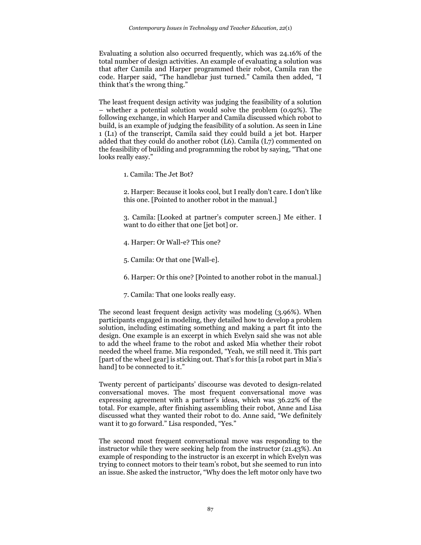Evaluating a solution also occurred frequently, which was 24.16% of the total number of design activities. An example of evaluating a solution was that after Camila and Harper programmed their robot, Camila ran the code. Harper said, "The handlebar just turned." Camila then added, "I think that's the wrong thing."

The least frequent design activity was judging the feasibility of a solution – whether a potential solution would solve the problem (0.92%). The following exchange, in which Harper and Camila discussed which robot to build, is an example of judging the feasibility of a solution. As seen in Line 1 (L1) of the transcript, Camila said they could build a jet bot. Harper added that they could do another robot (L6). Camila (L7) commented on the feasibility of building and programming the robot by saying, "That one looks really easy."

1. Camila: The Jet Bot?

2. Harper: Because it looks cool, but I really don't care. I don't like this one. [Pointed to another robot in the manual.]

3. Camila: [Looked at partner's computer screen.] Me either. I want to do either that one [jet bot] or.

- 4. Harper: Or Wall-e? This one?
- 5. Camila: Or that one [Wall-e].
- 6. Harper: Or this one? [Pointed to another robot in the manual.]
- 7. Camila: That one looks really easy.

The second least frequent design activity was modeling (3.96%). When participants engaged in modeling, they detailed how to develop a problem solution, including estimating something and making a part fit into the design. One example is an excerpt in which Evelyn said she was not able to add the wheel frame to the robot and asked Mia whether their robot needed the wheel frame. Mia responded, "Yeah, we still need it. This part [part of the wheel gear] is sticking out. That's for this [a robot part in Mia's hand] to be connected to it."

Twenty percent of participants' discourse was devoted to design-related conversational moves. The most frequent conversational move was expressing agreement with a partner's ideas, which was 36.22% of the total. For example, after finishing assembling their robot, Anne and Lisa discussed what they wanted their robot to do. Anne said, "We definitely want it to go forward." Lisa responded, "Yes."

The second most frequent conversational move was responding to the instructor while they were seeking help from the instructor (21.43%). An example of responding to the instructor is an excerpt in which Evelyn was trying to connect motors to their team's robot, but she seemed to run into an issue. She asked the instructor, "Why does the left motor only have two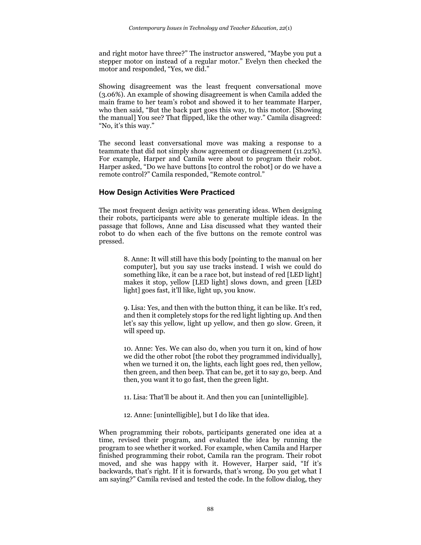and right motor have three?" The instructor answered, "Maybe you put a stepper motor on instead of a regular motor." Evelyn then checked the motor and responded, "Yes, we did."

Showing disagreement was the least frequent conversational move (3.06%). An example of showing disagreement is when Camila added the main frame to her team's robot and showed it to her teammate Harper, who then said, "But the back part goes this way, to this motor. [Showing the manual] You see? That flipped, like the other way." Camila disagreed: "No, it's this way."

The second least conversational move was making a response to a teammate that did not simply show agreement or disagreement (11.22%). For example, Harper and Camila were about to program their robot. Harper asked, "Do we have buttons [to control the robot] or do we have a remote control?" Camila responded, "Remote control."

#### **How Design Activities Were Practiced**

The most frequent design activity was generating ideas. When designing their robots, participants were able to generate multiple ideas. In the passage that follows, Anne and Lisa discussed what they wanted their robot to do when each of the five buttons on the remote control was pressed.

> 8. Anne: It will still have this body [pointing to the manual on her computer], but you say use tracks instead. I wish we could do something like, it can be a race bot, but instead of red [LED light] makes it stop, yellow [LED light] slows down, and green [LED light] goes fast, it'll like, light up, you know.

> 9. Lisa: Yes, and then with the button thing, it can be like. It's red, and then it completely stops for the red light lighting up. And then let's say this yellow, light up yellow, and then go slow. Green, it will speed up.

> 10. Anne: Yes. We can also do, when you turn it on, kind of how we did the other robot [the robot they programmed individually], when we turned it on, the lights, each light goes red, then yellow, then green, and then beep. That can be, get it to say go, beep. And then, you want it to go fast, then the green light.

11. Lisa: That'll be about it. And then you can [unintelligible].

12. Anne: [unintelligible], but I do like that idea.

When programming their robots, participants generated one idea at a time, revised their program, and evaluated the idea by running the program to see whether it worked. For example, when Camila and Harper finished programming their robot, Camila ran the program. Their robot moved, and she was happy with it. However, Harper said, "If it's backwards, that's right. If it is forwards, that's wrong. Do you get what I am saying?" Camila revised and tested the code. In the follow dialog, they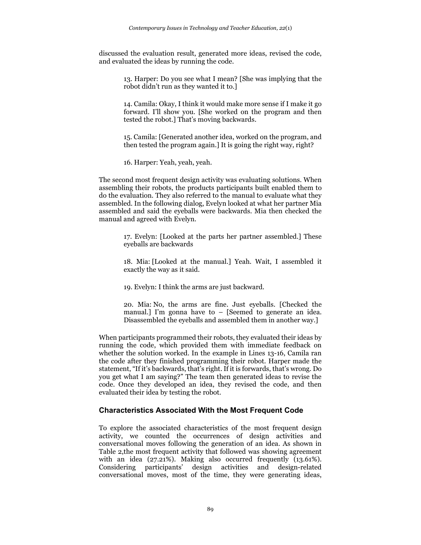discussed the evaluation result, generated more ideas, revised the code, and evaluated the ideas by running the code.

> 13. Harper: Do you see what I mean? [She was implying that the robot didn't run as they wanted it to.]

> 14. Camila: Okay, I think it would make more sense if I make it go forward. I'll show you. [She worked on the program and then tested the robot.] That's moving backwards.

> 15. Camila: [Generated another idea, worked on the program, and then tested the program again.] It is going the right way, right?

16. Harper: Yeah, yeah, yeah.

The second most frequent design activity was evaluating solutions. When assembling their robots, the products participants built enabled them to do the evaluation. They also referred to the manual to evaluate what they assembled. In the following dialog, Evelyn looked at what her partner Mia assembled and said the eyeballs were backwards. Mia then checked the manual and agreed with Evelyn.

> 17. Evelyn: [Looked at the parts her partner assembled.] These eyeballs are backwards

> 18. Mia: [Looked at the manual.] Yeah. Wait, I assembled it exactly the way as it said.

19. Evelyn: I think the arms are just backward.

20. Mia: No, the arms are fine. Just eyeballs. [Checked the manual.] I'm gonna have to  $-$  [Seemed to generate an idea. Disassembled the eyeballs and assembled them in another way.]

When participants programmed their robots, they evaluated their ideas by running the code, which provided them with immediate feedback on whether the solution worked. In the example in Lines 13-16, Camila ran the code after they finished programming their robot. Harper made the statement, "If it's backwards, that's right. If it is forwards, that's wrong. Do you get what I am saying?" The team then generated ideas to revise the code. Once they developed an idea, they revised the code, and then evaluated their idea by testing the robot.

#### **Characteristics Associated With the Most Frequent Code**

To explore the associated characteristics of the most frequent design activity, we counted the occurrences of design activities and conversational moves following the generation of an idea. As shown in Table 2,the most frequent activity that followed was showing agreement with an idea  $(27.21\%)$ . Making also occurred frequently  $(13.61\%)$ . Considering participants' design activities and design-related conversational moves, most of the time, they were generating ideas,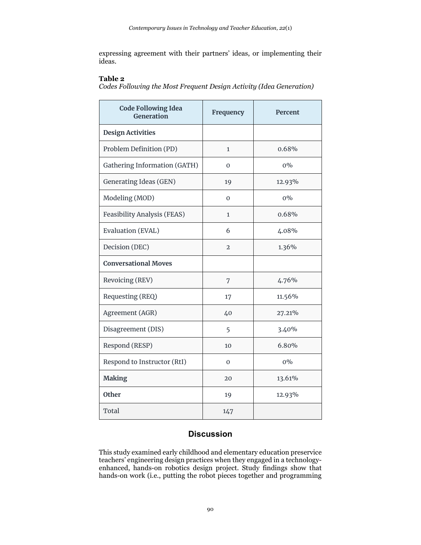expressing agreement with their partners' ideas, or implementing their ideas.

#### **Table 2**

*Codes Following the Most Frequent Design Activity (Idea Generation)*

| <b>Code Following Idea</b><br>Generation | Frequency      | Percent |
|------------------------------------------|----------------|---------|
| <b>Design Activities</b>                 |                |         |
| Problem Definition (PD)                  | $\mathbf{1}$   | 0.68%   |
| Gathering Information (GATH)             | $\Omega$       | $0\%$   |
| <b>Generating Ideas (GEN)</b>            | 19             | 12.93%  |
| Modeling (MOD)                           | $\mathbf{0}$   | $0\%$   |
| <b>Feasibility Analysis (FEAS)</b>       | $\mathbf{1}$   | 0.68%   |
| Evaluation (EVAL)                        | 6              | 4.08%   |
| Decision (DEC)                           | $\overline{2}$ | 1.36%   |
| <b>Conversational Moves</b>              |                |         |
| Revoicing (REV)                          | 7              | 4.76%   |
| Requesting (REQ)                         | 17             | 11.56%  |
| Agreement (AGR)                          | 40             | 27.21%  |
| Disagreement (DIS)                       | 5              | 3.40%   |
| Respond (RESP)                           | 10             | 6.80%   |
| Respond to Instructor (RtI)              | $\Omega$       | $0\%$   |
| <b>Making</b>                            | 20             | 13.61%  |
| <b>Other</b>                             | 19             | 12.93%  |
| Total                                    | 147            |         |

# **Discussion**

This study examined early childhood and elementary education preservice teachers' engineering design practices when they engaged in a technologyenhanced, hands-on robotics design project. Study findings show that hands-on work (i.e., putting the robot pieces together and programming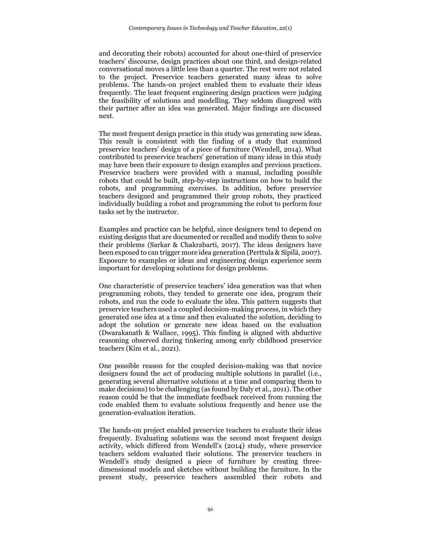and decorating their robots) accounted for about one-third of preservice teachers' discourse, design practices about one third, and design-related conversational moves a little less than a quarter. The rest were not related to the project. Preservice teachers generated many ideas to solve problems. The hands-on project enabled them to evaluate their ideas frequently. The least frequent engineering design practices were judging the feasibility of solutions and modelling. They seldom disagreed with their partner after an idea was generated. Major findings are discussed next.

The most frequent design practice in this study was generating new ideas. This result is consistent with the finding of a study that examined preservice teachers' design of a piece of furniture (Wendell, 2014). What contributed to preservice teachers' generation of many ideas in this study may have been their exposure to design examples and previous practices. Preservice teachers were provided with a manual, including possible robots that could be built, step-by-step instructions on how to build the robots, and programming exercises. In addition, before preservice teachers designed and programmed their group robots, they practiced individually building a robot and programming the robot to perform four tasks set by the instructor.

Examples and practice can be helpful, since designers tend to depend on existing designs that are documented or recalled and modify them to solve their problems (Sarkar & Chakrabarti, 2017). The ideas designers have been exposed to can trigger more idea generation (Perttula & Sipilä, 2007). Exposure to examples or ideas and engineering design experience seem important for developing solutions for design problems.

One characteristic of preservice teachers' idea generation was that when programming robots, they tended to generate one idea, program their robots, and run the code to evaluate the idea. This pattern suggests that preservice teachers used a coupled decision-making process, in which they generated one idea at a time and then evaluated the solution, deciding to adopt the solution or generate new ideas based on the evaluation (Dwarakanath & Wallace, 1995). This finding is aligned with abductive reasoning observed during tinkering among early childhood preservice teachers (Kim et al., 2021).

One possible reason for the coupled decision-making was that novice designers found the act of producing multiple solutions in parallel (i.e., generating several alternative solutions at a time and comparing them to make decisions) to be challenging (as found by Daly et al., 2011). The other reason could be that the immediate feedback received from running the code enabled them to evaluate solutions frequently and hence use the generation-evaluation iteration.

The hands-on project enabled preservice teachers to evaluate their ideas frequently. Evaluating solutions was the second most frequent design activity, which differed from Wendell's (2014) study, where preservice teachers seldom evaluated their solutions. The preservice teachers in Wendell's study designed a piece of furniture by creating threedimensional models and sketches without building the furniture. In the present study, preservice teachers assembled their robots and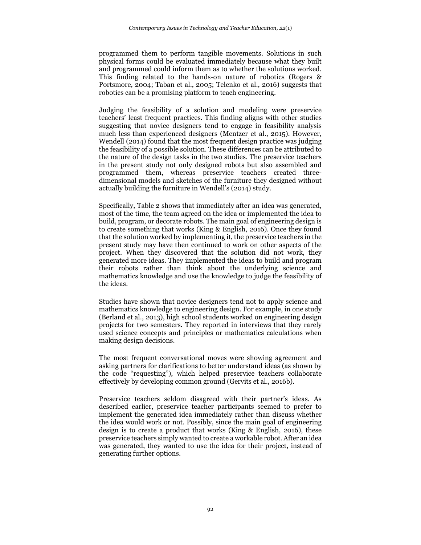programmed them to perform tangible movements. Solutions in such physical forms could be evaluated immediately because what they built and programmed could inform them as to whether the solutions worked. This finding related to the hands-on nature of robotics (Rogers & Portsmore, 2004; Taban et al., 2005; Telenko et al., 2016) suggests that robotics can be a promising platform to teach engineering.

Judging the feasibility of a solution and modeling were preservice teachers' least frequent practices. This finding aligns with other studies suggesting that novice designers tend to engage in feasibility analysis much less than experienced designers (Mentzer et al., 2015). However, Wendell (2014) found that the most frequent design practice was judging the feasibility of a possible solution. These differences can be attributed to the nature of the design tasks in the two studies. The preservice teachers in the present study not only designed robots but also assembled and programmed them, whereas preservice teachers created threedimensional models and sketches of the furniture they designed without actually building the furniture in Wendell's (2014) study.

Specifically, Table 2 shows that immediately after an idea was generated, most of the time, the team agreed on the idea or implemented the idea to build, program, or decorate robots. The main goal of engineering design is to create something that works (King & English, 2016). Once they found that the solution worked by implementing it, the preservice teachers in the present study may have then continued to work on other aspects of the project. When they discovered that the solution did not work, they generated more ideas. They implemented the ideas to build and program their robots rather than think about the underlying science and mathematics knowledge and use the knowledge to judge the feasibility of the ideas.

Studies have shown that novice designers tend not to apply science and mathematics knowledge to engineering design. For example, in one study (Berland et al., 2013), high school students worked on engineering design projects for two semesters. They reported in interviews that they rarely used science concepts and principles or mathematics calculations when making design decisions.

The most frequent conversational moves were showing agreement and asking partners for clarifications to better understand ideas (as shown by the code "requesting"), which helped preservice teachers collaborate effectively by developing common ground (Gervits et al., 2016b).

Preservice teachers seldom disagreed with their partner's ideas. As described earlier, preservice teacher participants seemed to prefer to implement the generated idea immediately rather than discuss whether the idea would work or not. Possibly, since the main goal of engineering design is to create a product that works (King & English, 2016), these preservice teachers simply wanted to create a workable robot. After an idea was generated, they wanted to use the idea for their project, instead of generating further options.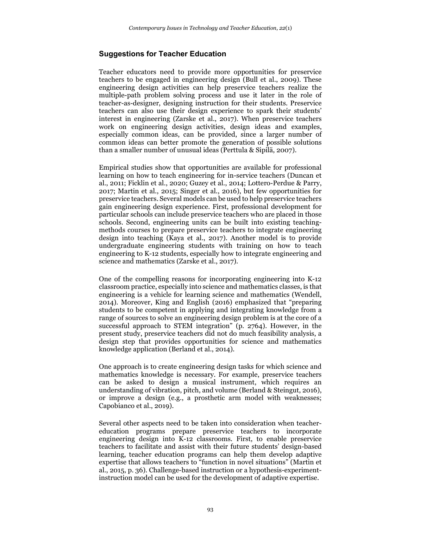# **Suggestions for Teacher Education**

Teacher educators need to provide more opportunities for preservice teachers to be engaged in engineering design (Bull et al., 2009). These engineering design activities can help preservice teachers realize the multiple-path problem solving process and use it later in the role of teacher-as-designer, designing instruction for their students. Preservice teachers can also use their design experience to spark their students' interest in engineering (Zarske et al., 2017). When preservice teachers work on engineering design activities, design ideas and examples, especially common ideas, can be provided, since a larger number of common ideas can better promote the generation of possible solutions than a smaller number of unusual ideas (Perttula & Sipilä, 2007).

Empirical studies show that opportunities are available for professional learning on how to teach engineering for in-service teachers (Duncan et al., 2011; Ficklin et al., 2020; Guzey et al., 2014; Lottero-Perdue & Parry, 2017; Martin et al., 2015; Singer et al., 2016), but few opportunities for preservice teachers. Several models can be used to help preservice teachers gain engineering design experience. First, professional development for particular schools can include preservice teachers who are placed in those schools. Second, engineering units can be built into existing teachingmethods courses to prepare preservice teachers to integrate engineering design into teaching (Kaya et al., 2017). Another model is to provide undergraduate engineering students with training on how to teach engineering to K-12 students, especially how to integrate engineering and science and mathematics (Zarske et al., 2017).

One of the compelling reasons for incorporating engineering into K-12 classroom practice, especially into science and mathematics classes, is that engineering is a vehicle for learning science and mathematics (Wendell, 2014). Moreover, King and English (2016) emphasized that "preparing students to be competent in applying and integrating knowledge from a range of sources to solve an engineering design problem is at the core of a successful approach to STEM integration" (p. 2764). However, in the present study, preservice teachers did not do much feasibility analysis, a design step that provides opportunities for science and mathematics knowledge application (Berland et al., 2014).

One approach is to create engineering design tasks for which science and mathematics knowledge is necessary. For example, preservice teachers can be asked to design a musical instrument, which requires an understanding of vibration, pitch, and volume (Berland & Steingut, 2016), or improve a design (e.g., a prosthetic arm model with weaknesses; Capobianco et al., 2019).

Several other aspects need to be taken into consideration when teachereducation programs prepare preservice teachers to incorporate engineering design into K-12 classrooms. First, to enable preservice teachers to facilitate and assist with their future students' design-based learning, teacher education programs can help them develop adaptive expertise that allows teachers to "function in novel situations" (Martin et al., 2015, p. 36). Challenge-based instruction or a hypothesis-experimentinstruction model can be used for the development of adaptive expertise.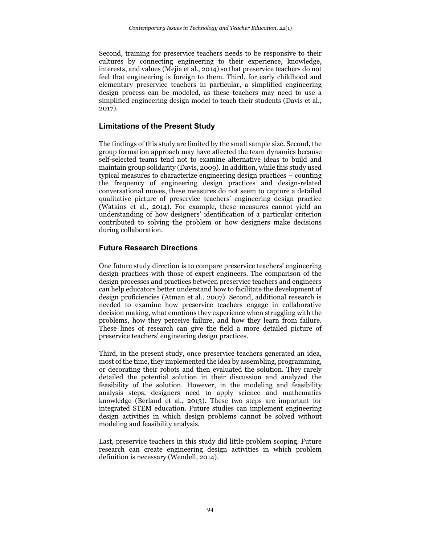Second, training for preservice teachers needs to be responsive to their cultures by connecting engineering to their experience, knowledge, interests, and values (Mejia et al., 2014) so that preservice teachers do not feel that engineering is foreign to them. Third, for early childhood and elementary preservice teachers in particular, a simplified engineering design process can be modeled, as these teachers may need to use a simplified engineering design model to teach their students (Davis et al., 2017).

# **Limitations of the Present Study**

The findings of this study are limited by the small sample size. Second, the group formation approach may have affected the team dynamics because self-selected teams tend not to examine alternative ideas to build and maintain group solidarity (Davis, 2009). In addition, while this study used typical measures to characterize engineering design practices – counting the frequency of engineering design practices and design-related conversational moves, these measures do not seem to capture a detailed qualitative picture of preservice teachers' engineering design practice (Watkins et al., 2014). For example, these measures cannot yield an understanding of how designers' identification of a particular criterion contributed to solving the problem or how designers make decisions during collaboration.

# **Future Research Directions**

One future study direction is to compare preservice teachers' engineering design practices with those of expert engineers. The comparison of the design processes and practices between preservice teachers and engineers can help educators better understand how to facilitate the development of design proficiencies (Atman et al., 2007). Second, additional research is needed to examine how preservice teachers engage in collaborative decision making, what emotions they experience when struggling with the problems, how they perceive failure, and how they learn from failure. These lines of research can give the field a more detailed picture of preservice teachers' engineering design practices.

Third, in the present study, once preservice teachers generated an idea, most of the time, they implemented the idea by assembling, programming, or decorating their robots and then evaluated the solution. They rarely detailed the potential solution in their discussion and analyzed the feasibility of the solution. However, in the modeling and feasibility analysis steps, designers need to apply science and mathematics knowledge (Berland et al., 2013). These two steps are important for integrated STEM education. Future studies can implement engineering design activities in which design problems cannot be solved without modeling and feasibility analysis.

Last, preservice teachers in this study did little problem scoping. Future research can create engineering design activities in which problem definition is necessary (Wendell, 2014).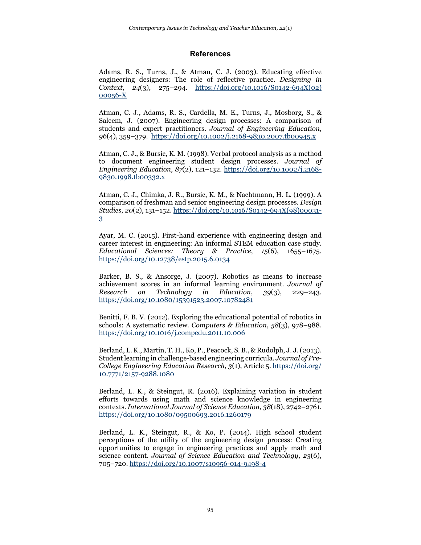#### **References**

Adams, R. S., Turns, J., & Atman, C. J. (2003). Educating effective engineering designers: The role of reflective practice. *Designing in Context*, *24*(3), 275–294. [https://doi.org/10.1016/S0142-694X\(02\)](https://doi.org/10.1016/S0142-694X(02)%2000056-X)  [00056-X](https://doi.org/10.1016/S0142-694X(02)%2000056-X)

Atman, C. J., Adams, R. S., Cardella, M. E., Turns, J., Mosborg, S., & Saleem, J. (2007). Engineering design processes: A comparison of students and expert practitioners. *Journal of Engineering Education*, *96*(4), 359–379. <https://doi.org/10.1002/j.2168-9830.2007.tb00945.x>

Atman, C. J., & Bursic, K. M. (1998). Verbal protocol analysis as a method to document engineering student design processes. *Journal of Engineering Education*, *87*(2), 121–132. [https://doi.org/10.1002/j.2168-](https://doi.org/10.1002/j.2168-9830.1998.tb00332.x) [9830.1998.tb00332.x](https://doi.org/10.1002/j.2168-9830.1998.tb00332.x)

Atman, C. J., Chimka, J. R., Bursic, K. M., & Nachtmann, H. L. (1999). A comparison of freshman and senior engineering design processes. *Design Studies*, *20*(2), 131–152. [https://doi.org/10.1016/S0142-694X\(98\)00031-](https://doi.org/10.1016/S0142-694X(98)00031-3) [3](https://doi.org/10.1016/S0142-694X(98)00031-3)

Ayar, M. C. (2015). First-hand experience with engineering design and career interest in engineering: An informal STEM education case study. *Educational Sciences: Theory & Practice*, *15*(6), 1655–1675. <https://doi.org/10.12738/estp.2015.6.0134>

Barker, B. S., & Ansorge, J. (2007). Robotics as means to increase achievement scores in an informal learning environment. *Journal of Research on Technology in Education*, *39*(3), 229–243. <https://doi.org/10.1080/15391523.2007.10782481>

Benitti, F. B. V. (2012). Exploring the educational potential of robotics in schools: A systematic review. *Computers & Education*, *58*(3), 978–988. <https://doi.org/10.1016/j.compedu.2011.10.006>

Berland, L. K., Martin, T. H., Ko, P., Peacock, S. B., & Rudolph, J. J. (2013). Student learning in challenge-based engineering curricula. *Journal of Pre-College Engineering Education Research*, *3*(1), Article 5[. https://doi.org/](https://doi.org/%2010.7771/2157-9288.1080) [10.7771/2157-9288.1080](https://doi.org/%2010.7771/2157-9288.1080)

Berland, L. K., & Steingut, R. (2016). Explaining variation in student efforts towards using math and science knowledge in engineering contexts. *International Journal of Science Education*, *38*(18), 2742–2761. <https://doi.org/10.1080/09500693.2016.1260179>

Berland, L. K., Steingut, R., & Ko, P. (2014). High school student perceptions of the utility of the engineering design process: Creating opportunities to engage in engineering practices and apply math and science content. *Journal of Science Education and Technology*, *23*(6), 705–720[. https://doi.org/10.1007/s10956-014-9498-4](https://doi.org/10.1007/s10956-014-9498-4)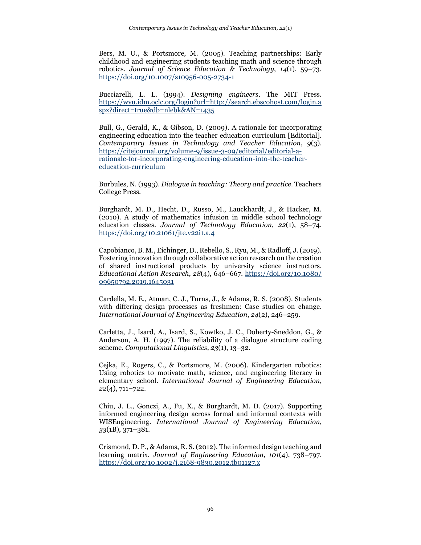Bers, M. U., & Portsmore, M. (2005). Teaching partnerships: Early childhood and engineering students teaching math and science through robotics. *Journal of Science Education & Technology*, *14*(1), 59–73. <https://doi.org/10.1007/s10956-005-2734-1>

Bucciarelli, L. L. (1994). *Designing engineers*. The MIT Press. [https://wvu.idm.oclc.org/login?url=http://search.ebscohost.com/login.a](https://wvu.idm.oclc.org/login?url=http://search.ebscohost.com/login.aspx?direct=true&db=nlebk&AN=1435) [spx?direct=true&db=nlebk&AN=1435](https://wvu.idm.oclc.org/login?url=http://search.ebscohost.com/login.aspx?direct=true&db=nlebk&AN=1435)

Bull, G., Gerald, K., & Gibson, D. (2009). A rationale for incorporating engineering education into the teacher education curriculum [Editorial]. *Contemporary Issues in Technology and Teacher Education*, *9*(3). [https://citejournal.org/volume-9/issue-3-09/editorial/editorial-a](https://citejournal.org/volume-9/issue-3-09/editorial/editorial-a-rationale-for-incorporating-engineering-education-into-the-teacher-education-curriculum)[rationale-for-incorporating-engineering-education-into-the-teacher](https://citejournal.org/volume-9/issue-3-09/editorial/editorial-a-rationale-for-incorporating-engineering-education-into-the-teacher-education-curriculum)[education-curriculum](https://citejournal.org/volume-9/issue-3-09/editorial/editorial-a-rationale-for-incorporating-engineering-education-into-the-teacher-education-curriculum)

Burbules, N. (1993). *Dialogue in teaching: Theory and practice*. Teachers College Press.

Burghardt, M. D., Hecht, D., Russo, M., Lauckhardt, J., & Hacker, M. (2010). A study of mathematics infusion in middle school technology education classes. *Journal of Technology Education*, *22*(1), 58–74. <https://doi.org/10.21061/jte.v22i1.a.4>

Capobianco, B. M., Eichinger, D., Rebello, S., Ryu, M., & Radloff, J. (2019). Fostering innovation through collaborative action research on the creation of shared instructional products by university science instructors. *Educational Action Research*, *28*(4), 646–667. [https://doi.org/10.1080/](https://doi.org/10.1080/%2009650792.2019.1645031) [09650792.2019.1645031](https://doi.org/10.1080/%2009650792.2019.1645031)

Cardella, M. E., Atman, C. J., Turns, J., & Adams, R. S. (2008). Students with differing design processes as freshmen: Case studies on change. *International Journal of Engineering Education*, *24*(2), 246–259.

Carletta, J., Isard, A., Isard, S., Kowtko, J. C., Doherty-Sneddon, G., & Anderson, A. H. (1997). The reliability of a dialogue structure coding scheme. *Computational Linguistics*, *23*(1), 13–32.

Cejka, E., Rogers, C., & Portsmore, M. (2006). Kindergarten robotics: Using robotics to motivate math, science, and engineering literacy in elementary school. *International Journal of Engineering Education*, *22*(4), 711–722.

Chiu, J. L., Gonczi, A., Fu, X., & Burghardt, M. D. (2017). Supporting informed engineering design across formal and informal contexts with WISEngineering. *International Journal of Engineering Education*, *33*(1B), 371–381.

Crismond, D. P., & Adams, R. S. (2012). The informed design teaching and learning matrix. *Journal of Engineering Education*, *101*(4), 738–797. <https://doi.org/10.1002/j.2168-9830.2012.tb01127.x>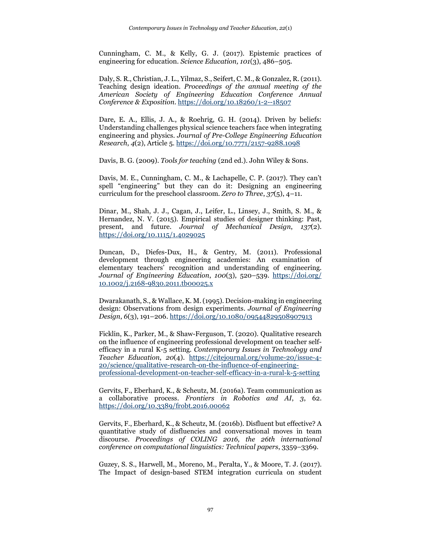Cunningham, C. M., & Kelly, G. J. (2017). Epistemic practices of engineering for education. *Science Education, 101*(3), 486–505.

Daly, S. R., Christian, J. L., Yilmaz, S., Seifert, C. M., & Gonzalez, R. (2011). Teaching design ideation. *Proceedings of the annual meeting of the American Society of Engineering Education Conference Annual Conference & Exposition*.<https://doi.org/10.18260/1-2--18507>

Dare, E. A., Ellis, J. A., & Roehrig, G. H. (2014). Driven by beliefs: Understanding challenges physical science teachers face when integrating engineering and physics. *Journal of Pre-College Engineering Education Research*, *4*(2), Article 5.<https://doi.org/10.7771/2157-9288.1098>

Davis, B. G. (2009). *Tools for teaching* (2nd ed.). John Wiley & Sons.

Davis, M. E., Cunningham, C. M., & Lachapelle, C. P. (2017). They can't spell "engineering" but they can do it: Designing an engineering curriculum for the preschool classroom. *Zero to Three*, *37*(5), 4–11.

Dinar, M., Shah, J. J., Cagan, J., Leifer, L., Linsey, J., Smith, S. M., & Hernandez, N. V. (2015). Empirical studies of designer thinking: Past, present, and future. *Journal of Mechanical Design*, *137*(2). <https://doi.org/10.1115/1.4029025>

Duncan, D., Diefes-Dux, H., & Gentry, M. (2011). Professional development through engineering academies: An examination of elementary teachers' recognition and understanding of engineering. *Journal of Engineering Education*, *100*(3), 520–539. [https://doi.org/](https://doi.org/%2010.1002/j.2168-9830.2011.tb00025.x) [10.1002/j.2168-9830.2011.tb00025.x](https://doi.org/%2010.1002/j.2168-9830.2011.tb00025.x)

Dwarakanath, S., & Wallace, K. M. (1995). Decision-making in engineering design: Observations from design experiments. *Journal of Engineering Design*, *6*(3), 191–206.<https://doi.org/10.1080/09544829508907913>

Ficklin, K., Parker, M., & Shaw-Ferguson, T. (2020). Qualitative research on the influence of engineering professional development on teacher selfefficacy in a rural K-5 setting. *Contemporary Issues in Technology and Teacher Education*, *20*(4). [https://citejournal.org/volume-20/issue-4-](https://citejournal.org/volume-20/issue-4-20/science/qualitative-research-on-the-influence-of-engineering-professional-development-on-teacher-self-efficacy-in-a-rural-k-5-setting) [20/science/qualitative-research-on-the-influence-of-engineering](https://citejournal.org/volume-20/issue-4-20/science/qualitative-research-on-the-influence-of-engineering-professional-development-on-teacher-self-efficacy-in-a-rural-k-5-setting)[professional-development-on-teacher-self-efficacy-in-a-rural-k-5-setting](https://citejournal.org/volume-20/issue-4-20/science/qualitative-research-on-the-influence-of-engineering-professional-development-on-teacher-self-efficacy-in-a-rural-k-5-setting)

Gervits, F., Eberhard, K., & Scheutz, M. (2016a). Team communication as a collaborative process. *Frontiers in Robotics and AI*, *3*, 62. <https://doi.org/10.3389/frobt.2016.00062>

Gervits, F., Eberhard, K., & Scheutz, M. (2016b). Disfluent but effective? A quantitative study of disfluencies and conversational moves in team discourse. *Proceedings of COLING 2016, the 26th international conference on computational linguistics: Technical papers*, 3359–3369.

Guzey, S. S., Harwell, M., Moreno, M., Peralta, Y., & Moore, T. J. (2017). The Impact of design-based STEM integration curricula on student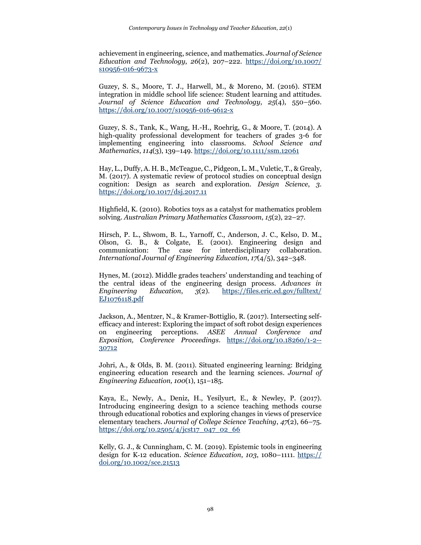achievement in engineering, science, and mathematics. *Journal of Science Education and Technology*, *26*(2), 207–222. [https://doi.org/10.1007/](https://doi.org/10.1007/%20s10956-016-9673-x) [s10956-016-9673-x](https://doi.org/10.1007/%20s10956-016-9673-x)

Guzey, S. S., Moore, T. J., Harwell, M., & Moreno, M. (2016). STEM integration in middle school life science: Student learning and attitudes. *Journal of Science Education and Technology*, *25*(4), 550–560. <https://doi.org/10.1007/s10956-016-9612-x>

Guzey, S. S., Tank, K., Wang, H.-H., Roehrig, G., & Moore, T. (2014). A high-quality professional development for teachers of grades 3-6 for implementing engineering into classrooms. *School Science and Mathematics*, *114*(3), 139–149[. https://doi.org/10.1111/ssm.12061](https://doi.org/10.1111/ssm.12061)

Hay, L., Duffy, A. H. B., McTeague, C., Pidgeon, L. M., Vuletic, T., & Grealy, M. (2017). A systematic review of protocol studies on conceptual design cognition: Design as search and exploration. *Design Science*, *3*. <https://doi.org/10.1017/dsj.2017.11>

Highfield, K. (2010). Robotics toys as a catalyst for mathematics problem solving. *Australian Primary Mathematics Classroom*, *15*(2), 22–27.

Hirsch, P. L., Shwom, B. L., Yarnoff, C., Anderson, J. C., Kelso, D. M., Olson, G. B., & Colgate, E. (2001). Engineering design and communication: The case for interdisciplinary collaboration. *International Journal of Engineering Education*, *17*(4/5), 342–348.

Hynes, M. (2012). Middle grades teachers' understanding and teaching of the central ideas of the engineering design process. *Advances in Engineering Education*, *3*(2). [https://files.eric.ed.gov/fulltext/](https://files.eric.ed.gov/fulltext/%20EJ1076118.pdf) [EJ1076118.pdf](https://files.eric.ed.gov/fulltext/%20EJ1076118.pdf)

Jackson, A., Mentzer, N., & Kramer-Bottiglio, R. (2017). Intersecting selfefficacy and interest: Exploring the impact of soft robot design experiences on engineering perceptions. *ASEE Annual Conference and Exposition, Conference Proceedings*. [https://doi.org/10.18260/1-2--](https://doi.org/10.18260/1-2--30712) [30712](https://doi.org/10.18260/1-2--30712)

Johri, A., & Olds, B. M. (2011). Situated engineering learning: Bridging engineering education research and the learning sciences. *Journal of Engineering Education, 100*(1), 151–185.

Kaya, E., Newly, A., Deniz, H., Yesilyurt, E., & Newley, P. (2017). Introducing engineering design to a science teaching methods course through educational robotics and exploring changes in views of preservice elementary teachers. *Journal of College Science Teaching*, *47*(2), 66–75. [https://doi.org/10.2505/4/jcst17\\_047\\_02\\_66](https://doi.org/10.2505/4/jcst17_047_02_66)

Kelly, G. J., & Cunningham, C. M. (2019). Epistemic tools in engineering design for K‐12 education. *Science Education*, *103*, 1080–1111. https:// doi.org/10.1002/sce.21513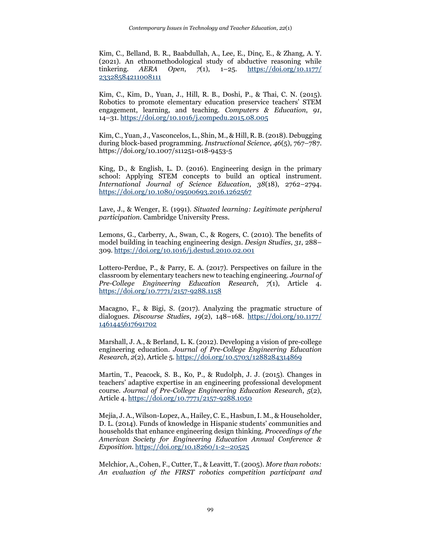Kim, C., Belland, B. R., Baabdullah, A., Lee, E., Dinç, E., & Zhang, A. Y. (2021). An ethnomethodological study of abductive reasoning while tinkering. *AERA Open*, *7*(1), 1–25. [https://doi.org/10.1177/](https://doi.org/10.1177/%2023328584211008111) [23328584211008111](https://doi.org/10.1177/%2023328584211008111)

Kim, C., Kim, D., Yuan, J., Hill, R. B., Doshi, P., & Thai, C. N. (2015). Robotics to promote elementary education preservice teachers' STEM engagement, learning, and teaching. *Computers & Education*, *91*, 14–31.<https://doi.org/10.1016/j.compedu.2015.08.005>

Kim, C., Yuan, J., Vasconcelos, L., Shin, M., & Hill, R. B. (2018). Debugging during block-based programming. *Instructional Science*, *46*(5), 767–787. https://doi.org/10.1007/s11251-018-9453-5

King, D., & English, L. D. (2016). Engineering design in the primary school: Applying STEM concepts to build an optical instrument. *International Journal of Science Education*, *38*(18), 2762–2794. <https://doi.org/10.1080/09500693.2016.1262567>

Lave, J., & Wenger, E. (1991). *Situated learning: Legitimate peripheral participation.* Cambridge University Press.

Lemons, G., Carberry, A., Swan, C., & Rogers, C. (2010). The benefits of model building in teaching engineering design. *Design Studies*, *31*, 288– 309.<https://doi.org/10.1016/j.destud.2010.02.001>

Lottero-Perdue, P., & Parry, E. A. (2017). Perspectives on failure in the classroom by elementary teachers new to teaching engineering. *Journal of Pre-College Engineering Education Research*, *7*(1), Article 4. <https://doi.org/10.7771/2157-9288.1158>

Macagno, F., & Bigi, S. (2017). Analyzing the pragmatic structure of dialogues. *Discourse Studies*, *19*(2), 148–168. [https://doi.org/10.1177/](https://doi.org/10.1177/%201461445617691702) [1461445617691702](https://doi.org/10.1177/%201461445617691702)

Marshall, J. A., & Berland, L. K. (2012). Developing a vision of pre-college engineering education. *Journal of Pre-College Engineering Education Research*, *2*(2), Article 5.<https://doi.org/10.5703/1288284314869>

Martin, T., Peacock, S. B., Ko, P., & Rudolph, J. J. (2015). Changes in teachers' adaptive expertise in an engineering professional development course. *Journal of Pre-College Engineering Education Research*, *5*(2), Article 4[. https://doi.org/10.7771/2157-9288.1050](https://doi.org/10.7771/2157-9288.1050)

Mejia, J. A., Wilson-Lopez, A., Hailey, C. E., Hasbun, I. M., & Householder, D. L. (2014). Funds of knowledge in Hispanic students' communities and households that enhance engineering design thinking. *Proceedings of the American Society for Engineering Education Annual Conference & Exposition*.<https://doi.org/10.18260/1-2--20525>

Melchior, A., Cohen, F., Cutter, T., & Leavitt, T. (2005). *More than robots: An evaluation of the FIRST robotics competition participant and*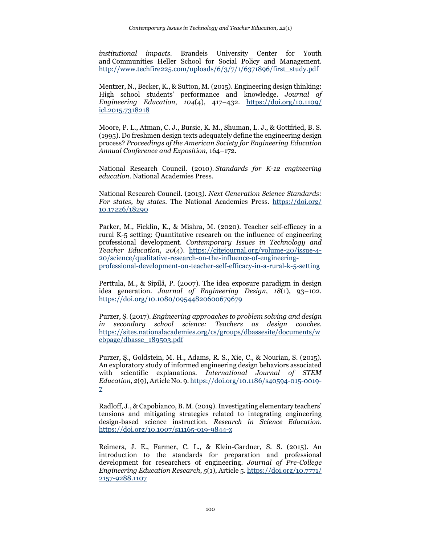*institutional impacts*. Brandeis University Center for Youth and Communities Heller School for Social Policy and Management. [http://www.techfire225.com/uploads/6/3/7/1/6371896/first\\_study.pdf](http://www.techfire225.com/uploads/6/3/7/1/6371896/first_study.pdf)

Mentzer, N., Becker, K., & Sutton, M. (2015). Engineering design thinking: High school students' performance and knowledge. *Journal of Engineering Education*, *104*(4), 417–432. [https://doi.org/10.1109/](https://doi.org/10.1109/%20icl.2015.7318218) [icl.2015.7318218](https://doi.org/10.1109/%20icl.2015.7318218)

Moore, P. L., Atman, C. J., Bursic, K. M., Shuman, L. J., & Gottfried, B. S. (1995). Do freshmen design texts adequately define the engineering design process? *Proceedings of the American Society for Engineering Education Annual Conference and Exposition*, 164–172.

National Research Council. (2010). *Standards for K-12 engineering education*. National Academies Press.

National Research Council. (2013). *Next Generation Science Standards: For states, by states*. The National Academies Press. [https://doi.org/](https://doi.org/%2010.17226/18290) [10.17226/18290](https://doi.org/%2010.17226/18290)

Parker, M., Ficklin, K., & Mishra, M. (2020). Teacher self-efficacy in a rural K-5 setting: Quantitative research on the influence of engineering professional development. *Contemporary Issues in Technology and Teacher Education*, *20*(4). [https://citejournal.org/volume-20/issue-4-](https://citejournal.org/volume-20/issue-4-20/science/qualitative-research-on-the-influence-of-engineering-professional-development-on-teacher-self-efficacy-in-a-rural-k-5-setting) [20/science/qualitative-research-on-the-influence-of-engineering](https://citejournal.org/volume-20/issue-4-20/science/qualitative-research-on-the-influence-of-engineering-professional-development-on-teacher-self-efficacy-in-a-rural-k-5-setting)[professional-development-on-teacher-self-efficacy-in-a-rural-k-5-setting](https://citejournal.org/volume-20/issue-4-20/science/qualitative-research-on-the-influence-of-engineering-professional-development-on-teacher-self-efficacy-in-a-rural-k-5-setting)

Perttula, M., & Sipilä, P. (2007). The idea exposure paradigm in design idea generation. *Journal of Engineering Design*, *18*(1), 93–102. <https://doi.org/10.1080/09544820600679679>

Purzer, Ş. (2017). *Engineering approaches to problem solving and design in secondary school science: Teachers as design coaches*. [https://sites.nationalacademies.org/cs/groups/dbassesite/documents/w](https://sites.nationalacademies.org/cs/groups/dbassesite/documents/webpage/dbasse_189503.pdf) [ebpage/dbasse\\_189503.pdf](https://sites.nationalacademies.org/cs/groups/dbassesite/documents/webpage/dbasse_189503.pdf)

Purzer, Ş., Goldstein, M. H., Adams, R. S., Xie, C., & Nourian, S. (2015). An exploratory study of informed engineering design behaviors associated with scientific explanations. *International Journal of STEM Education*, *2*(9), Article No. 9. [https://doi.org/10.1186/s40594-015-0019-](https://doi.org/10.1186/s40594-015-0019-7) [7](https://doi.org/10.1186/s40594-015-0019-7)

Radloff, J., & Capobianco, B. M. (2019). Investigating elementary teachers' tensions and mitigating strategies related to integrating engineering design-based science instruction. *Research in Science Education*. <https://doi.org/10.1007/s11165-019-9844-x>

Reimers, J. E., Farmer, C. L., & Klein-Gardner, S. S. (2015). An introduction to the standards for preparation and professional development for researchers of engineering. *Journal of Pre-College Engineering Education Research*, *5*(1), Article 5[. https://doi.org/10.7771/](https://doi.org/10.7771/%202157-9288.1107) [2157-9288.1107](https://doi.org/10.7771/%202157-9288.1107)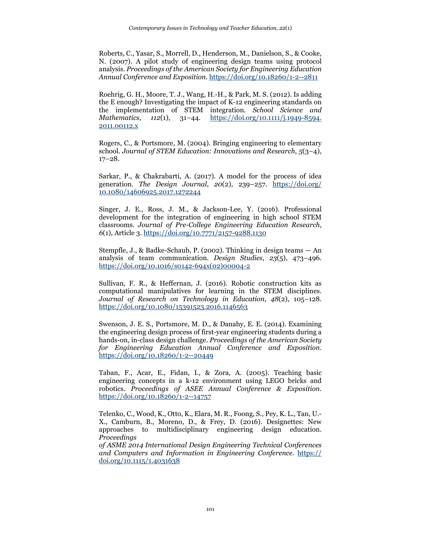Roberts, C., Yasar, S., Morrell, D., Henderson, M., Danielson, S., & Cooke, N. (2007). A pilot study of engineering design teams using protocol analysis. *Proceedings of the American Society for Engineering Education Annual Conference and Exposition.* <https://doi.org/10.18260/1-2--2811>

Roehrig, G. H., Moore, T. J., Wang, H.-H., & Park, M. S. (2012). Is adding the E enough? Investigating the impact of K-12 engineering standards on the implementation of STEM integration. *School Science and Mathematics*, *112*(1), 31–44. [https://doi.org/10.1111/j.1949-8594.](https://doi.org/10.1111/j.1949-8594.%202011.00112.x)  [2011.00112.x](https://doi.org/10.1111/j.1949-8594.%202011.00112.x)

Rogers, C., & Portsmore, M. (2004). Bringing engineering to elementary school. *Journal of STEM Education: Innovations and Research*, *5*(3–4), 17–28.

Sarkar, P., & Chakrabarti, A. (2017). A model for the process of idea generation. *The Design Journal*, *20*(2), 239–257. [https://doi.org/](https://doi.org/%2010.1080/14606925.2017.1272244) [10.1080/14606925.2017.1272244](https://doi.org/%2010.1080/14606925.2017.1272244)

Singer, J. E., Ross, J. M., & Jackson-Lee, Y. (2016). Professional development for the integration of engineering in high school STEM classrooms. *Journal of Pre-College Engineering Education Research*, *6*(1), Article 3.<https://doi.org/10.7771/2157-9288.1130>

Stempfle, J., & Badke-Schaub, P. (2002). Thinking in design teams — An analysis of team communication. *Design Studies*, *23*(5), 473–496. [https://doi.org/10.1016/s0142-694x\(02\)00004-2](https://doi.org/10.1016/s0142-694x(02)00004-2)

Sullivan, F. R., & Heffernan, J. (2016). Robotic construction kits as computational manipulatives for learning in the STEM disciplines. *Journal of Research on Technology in Education*, *48*(2), 105–128. <https://doi.org/10.1080/15391523.2016.1146563>

Swenson, J. E. S., Portsmore, M. D., & Danahy, E. E. (2014). Examining the engineering design process of first-year engineering students during a hands-on, in-class design challenge. *Proceedings of the American Society for Engineering Education Annual Conference and Exposition.* <https://doi.org/10.18260/1-2--20449>

Taban, F., Acar, E., Fidan, I., & Zora, A. (2005). Teaching basic engineering concepts in a k-12 environment using LEGO bricks and robotics. *Proceedings of ASEE Annual Conference & Exposition*. <https://doi.org/10.18260/1-2--14757>

Telenko, C., Wood, K., Otto, K., Elara, M. R., Foong, S., Pey, K. L., Tan, U.- X., Camburn, B., Moreno, D., & Frey, D. (2016). Designettes: New approaches to multidisciplinary engineering design education. *Proceedings*

*of ASME 2014 International Design Engineering Technical Conferences and Computers and Information in Engineering Conference*. https:// doi.org/10.1115/1.4031638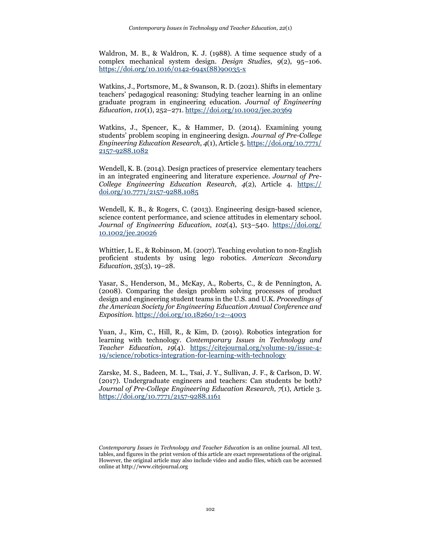Waldron, M. B., & Waldron, K. J. (1988). A time sequence study of a complex mechanical system design. *Design Studies*, *9*(2), 95–106. https://doi.org/10.1016/0142-694x(88)90035-x

Watkins, J., Portsmore, M., & Swanson, R. D. (2021). Shifts in elementary teachers' pedagogical reasoning: Studying teacher learning in an online graduate program in engineering education. *Journal of Engineering Education*, *110*(1), 252–271. https://doi.org/10.1002/jee.20369

Watkins, J., Spencer, K., & Hammer, D. (2014). Examining young students' problem scoping in engineering design. *Journal of Pre-College Engineering Education Research*, *4*(1), Article 5. https://doi.org/10.7771/ 2157-9288.1082

Wendell, K. B. (2014). Design practices of preservice elementary teachers in an integrated engineering and literature experience. *Journal of Pre-College Engineering Education Research*, *4*(2), Article 4. https:// doi.org/10.7771/2157-9288.1085

Wendell, K. B., & Rogers, C. (2013). Engineering design-based science, science content performance, and science attitudes in elementary school. *Journal of Engineering Education*, *102*(4), 513–540. https://doi.org/ 10.1002/jee.20026

Whittier, L. E., & Robinson, M. (2007). Teaching evolution to non-English proficient students by using lego robotics. *American Secondary Education*, *35*(3), 19–28.

Yasar, S., Henderson, M., McKay, A., Roberts, C., & de Pennington, A. (2008). Comparing the design problem solving processes of product design and engineering student teams in the U.S. and U.K. *Proceedings of the American Society for Engineering Education Annual Conference and Exposition.* https://doi.org/10.18260/1-2--4003

Yuan, J., Kim, C., Hill, R., & Kim, D. (2019). Robotics integration for learning with technology. *Contemporary Issues in Technology and Teacher Education*, *19*(4). https://citejournal.org/volume-19/issue-4- 19/science/robotics-integration-for-learning-with-technology

Zarske, M. S., Badeen, M. L., Tsai, J. Y., Sullivan, J. F., & Carlson, D. W. (2017). Undergraduate engineers and teachers: Can students be both? *Journal of Pre-College Engineering Education Research*, *7*(1), Article 3. https://doi.org/10.7771/2157-9288.1161

*Contemporary Issues in Technology and Teacher Education* is an online journal. All text, tables, and figures in the print version of this article are exact representations of the original. However, the original article may also include video and audio files, which can be accessed online at http://www.citejournal.org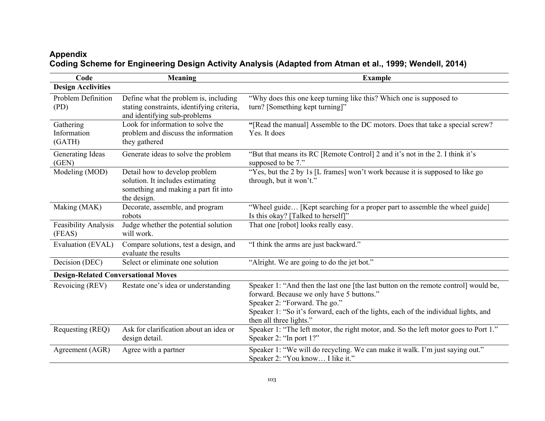# **Appendix Coding Scheme for Engineering Design Activity Analysis (Adapted from Atman et al., 1999; Wendell, 2014)**

| Code                                       | Meaning                                                                                                                  | <b>Example</b>                                                                                                                                                                                                                                                                      |  |
|--------------------------------------------|--------------------------------------------------------------------------------------------------------------------------|-------------------------------------------------------------------------------------------------------------------------------------------------------------------------------------------------------------------------------------------------------------------------------------|--|
| <b>Design Acclivities</b>                  |                                                                                                                          |                                                                                                                                                                                                                                                                                     |  |
| Problem Definition<br>(PD)                 | Define what the problem is, including<br>stating constraints, identifying criteria,<br>and identifying sub-problems      | "Why does this one keep turning like this? Which one is supposed to<br>turn? [Something kept turning]"                                                                                                                                                                              |  |
| Gathering<br>Information<br>(GATH)         | Look for information to solve the<br>problem and discuss the information<br>they gathered                                | "[Read the manual] Assemble to the DC motors. Does that take a special screw?<br>Yes. It does                                                                                                                                                                                       |  |
| Generating Ideas<br>(GEN)                  | Generate ideas to solve the problem                                                                                      | "But that means its RC [Remote Control] 2 and it's not in the 2. I think it's<br>supposed to be 7."                                                                                                                                                                                 |  |
| Modeling (MOD)                             | Detail how to develop problem<br>solution. It includes estimating<br>something and making a part fit into<br>the design. | "Yes, but the 2 by 1s [L frames] won't work because it is supposed to like go<br>through, but it won't."                                                                                                                                                                            |  |
| Making (MAK)                               | Decorate, assemble, and program<br>robots                                                                                | "Wheel guide [Kept searching for a proper part to assemble the wheel guide]<br>Is this okay? [Talked to herself]"                                                                                                                                                                   |  |
| Feasibility Analysis<br>(FEAS)             | Judge whether the potential solution<br>will work.                                                                       | That one [robot] looks really easy.                                                                                                                                                                                                                                                 |  |
| Evaluation (EVAL)                          | Compare solutions, test a design, and<br>evaluate the results                                                            | "I think the arms are just backward."                                                                                                                                                                                                                                               |  |
| Decision (DEC)                             | Select or eliminate one solution                                                                                         | "Alright. We are going to do the jet bot."                                                                                                                                                                                                                                          |  |
| <b>Design-Related Conversational Moves</b> |                                                                                                                          |                                                                                                                                                                                                                                                                                     |  |
| Revoicing (REV)                            | Restate one's idea or understanding                                                                                      | Speaker 1: "And then the last one [the last button on the remote control] would be,<br>forward. Because we only have 5 buttons."<br>Speaker 2: "Forward. The go."<br>Speaker 1: "So it's forward, each of the lights, each of the individual lights, and<br>then all three lights." |  |
| Requesting (REQ)                           | Ask for clarification about an idea or<br>design detail.                                                                 | Speaker 1: "The left motor, the right motor, and. So the left motor goes to Port 1."<br>Speaker 2: "In port 1?"                                                                                                                                                                     |  |
| Agreement (AGR)                            | Agree with a partner                                                                                                     | Speaker 1: "We will do recycling. We can make it walk. I'm just saying out."<br>Speaker 2: "You know I like it."                                                                                                                                                                    |  |